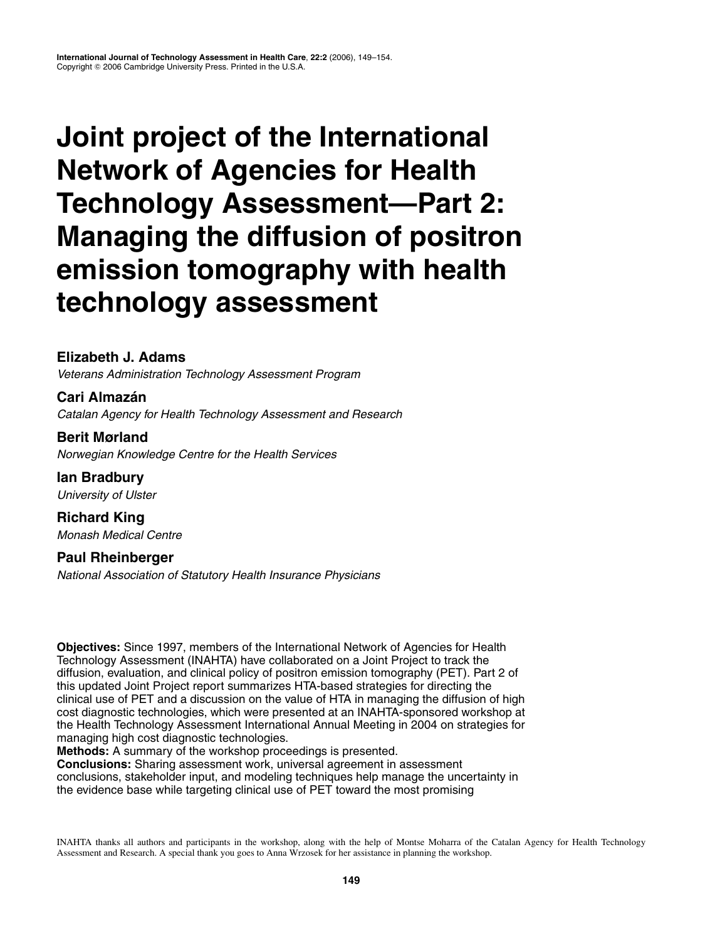# **Joint project of the International Network of Agencies for Health Technology Assessment—Part 2: Managing the diffusion of positron emission tomography with health technology assessment**

## **Elizabeth J. Adams**

Veterans Administration Technology Assessment Program

**Cari Almazán** Catalan Agency for Health Technology Assessment and Research

**Berit Mørland** Norwegian Knowledge Centre for the Health Services

**Ian Bradbury** University of Ulster

**Richard King** Monash Medical Centre

**Paul Rheinberger** National Association of Statutory Health Insurance Physicians

**Objectives:** Since 1997, members of the International Network of Agencies for Health Technology Assessment (INAHTA) have collaborated on a Joint Project to track the diffusion, evaluation, and clinical policy of positron emission tomography (PET). Part 2 of this updated Joint Project report summarizes HTA-based strategies for directing the clinical use of PET and a discussion on the value of HTA in managing the diffusion of high cost diagnostic technologies, which were presented at an INAHTA-sponsored workshop at the Health Technology Assessment International Annual Meeting in 2004 on strategies for managing high cost diagnostic technologies.

**Methods:** A summary of the workshop proceedings is presented.

**Conclusions:** Sharing assessment work, universal agreement in assessment conclusions, stakeholder input, and modeling techniques help manage the uncertainty in the evidence base while targeting clinical use of PET toward the most promising

INAHTA thanks all authors and participants in the workshop, along with the help of Montse Moharra of the Catalan Agency for Health Technology Assessment and Research. A special thank you goes to Anna Wrzosek for her assistance in planning the workshop.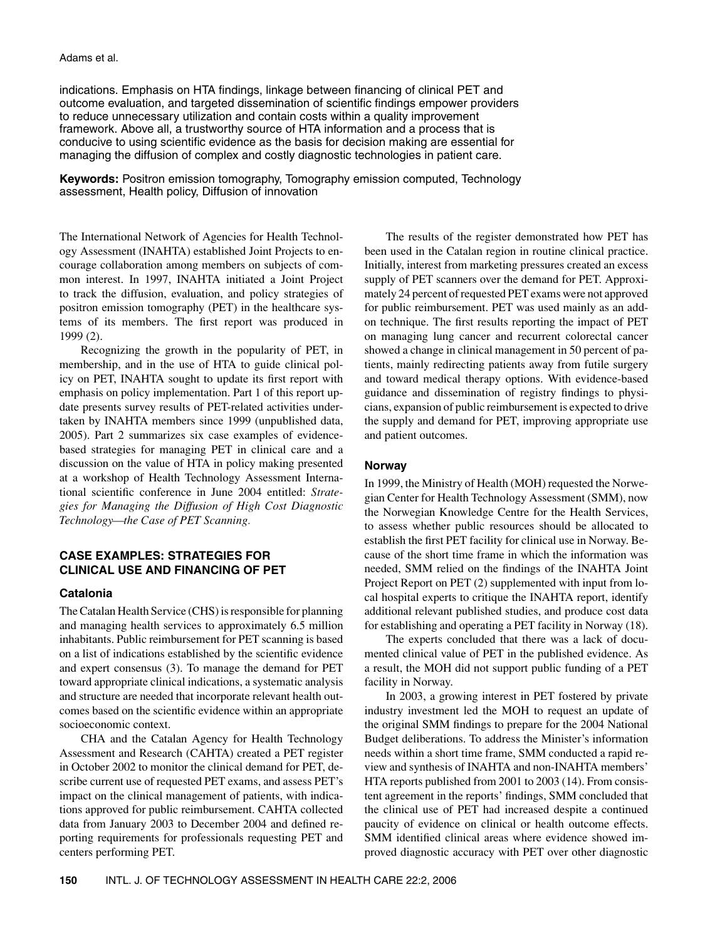#### Adams et al.

indications. Emphasis on HTA findings, linkage between financing of clinical PET and outcome evaluation, and targeted dissemination of scientific findings empower providers to reduce unnecessary utilization and contain costs within a quality improvement framework. Above all, a trustworthy source of HTA information and a process that is conducive to using scientific evidence as the basis for decision making are essential for managing the diffusion of complex and costly diagnostic technologies in patient care.

**Keywords:** Positron emission tomography, Tomography emission computed, Technology assessment, Health policy, Diffusion of innovation

The International Network of Agencies for Health Technology Assessment (INAHTA) established Joint Projects to encourage collaboration among members on subjects of common interest. In 1997, INAHTA initiated a Joint Project to track the diffusion, evaluation, and policy strategies of positron emission tomography (PET) in the healthcare systems of its members. The first report was produced in 1999 (2).

Recognizing the growth in the popularity of PET, in membership, and in the use of HTA to guide clinical policy on PET, INAHTA sought to update its first report with emphasis on policy implementation. Part 1 of this report update presents survey results of PET-related activities undertaken by INAHTA members since 1999 (unpublished data, 2005). Part 2 summarizes six case examples of evidencebased strategies for managing PET in clinical care and a discussion on the value of HTA in policy making presented at a workshop of Health Technology Assessment International scientific conference in June 2004 entitled: *Strategies for Managing the Diffusion of High Cost Diagnostic Technology—the Case of PET Scanning.*

## **CASE EXAMPLES: STRATEGIES FOR CLINICAL USE AND FINANCING OF PET**

#### **Catalonia**

The Catalan Health Service (CHS) is responsible for planning and managing health services to approximately 6.5 million inhabitants. Public reimbursement for PET scanning is based on a list of indications established by the scientific evidence and expert consensus (3). To manage the demand for PET toward appropriate clinical indications, a systematic analysis and structure are needed that incorporate relevant health outcomes based on the scientific evidence within an appropriate socioeconomic context.

CHA and the Catalan Agency for Health Technology Assessment and Research (CAHTA) created a PET register in October 2002 to monitor the clinical demand for PET, describe current use of requested PET exams, and assess PET's impact on the clinical management of patients, with indications approved for public reimbursement. CAHTA collected data from January 2003 to December 2004 and defined reporting requirements for professionals requesting PET and centers performing PET.

The results of the register demonstrated how PET has been used in the Catalan region in routine clinical practice. Initially, interest from marketing pressures created an excess supply of PET scanners over the demand for PET. Approximately 24 percent of requested PET exams were not approved for public reimbursement. PET was used mainly as an addon technique. The first results reporting the impact of PET on managing lung cancer and recurrent colorectal cancer showed a change in clinical management in 50 percent of patients, mainly redirecting patients away from futile surgery and toward medical therapy options. With evidence-based guidance and dissemination of registry findings to physicians, expansion of public reimbursement is expected to drive the supply and demand for PET, improving appropriate use and patient outcomes.

#### **Norway**

In 1999, the Ministry of Health (MOH) requested the Norwegian Center for Health Technology Assessment (SMM), now the Norwegian Knowledge Centre for the Health Services, to assess whether public resources should be allocated to establish the first PET facility for clinical use in Norway. Because of the short time frame in which the information was needed, SMM relied on the findings of the INAHTA Joint Project Report on PET (2) supplemented with input from local hospital experts to critique the INAHTA report, identify additional relevant published studies, and produce cost data for establishing and operating a PET facility in Norway (18).

The experts concluded that there was a lack of documented clinical value of PET in the published evidence. As a result, the MOH did not support public funding of a PET facility in Norway.

In 2003, a growing interest in PET fostered by private industry investment led the MOH to request an update of the original SMM findings to prepare for the 2004 National Budget deliberations. To address the Minister's information needs within a short time frame, SMM conducted a rapid review and synthesis of INAHTA and non-INAHTA members' HTA reports published from 2001 to 2003 (14). From consistent agreement in the reports' findings, SMM concluded that the clinical use of PET had increased despite a continued paucity of evidence on clinical or health outcome effects. SMM identified clinical areas where evidence showed improved diagnostic accuracy with PET over other diagnostic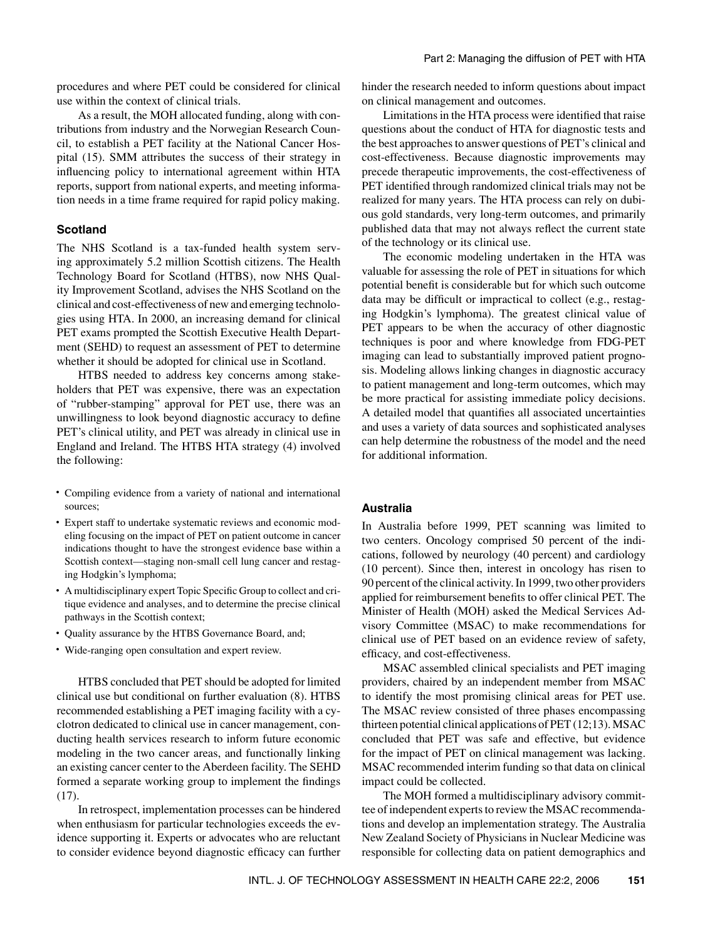procedures and where PET could be considered for clinical use within the context of clinical trials.

As a result, the MOH allocated funding, along with contributions from industry and the Norwegian Research Council, to establish a PET facility at the National Cancer Hospital (15). SMM attributes the success of their strategy in influencing policy to international agreement within HTA reports, support from national experts, and meeting information needs in a time frame required for rapid policy making.

#### **Scotland**

The NHS Scotland is a tax-funded health system serving approximately 5.2 million Scottish citizens. The Health Technology Board for Scotland (HTBS), now NHS Quality Improvement Scotland, advises the NHS Scotland on the clinical and cost-effectiveness of new and emerging technologies using HTA. In 2000, an increasing demand for clinical PET exams prompted the Scottish Executive Health Department (SEHD) to request an assessment of PET to determine whether it should be adopted for clinical use in Scotland.

HTBS needed to address key concerns among stakeholders that PET was expensive, there was an expectation of "rubber-stamping" approval for PET use, there was an unwillingness to look beyond diagnostic accuracy to define PET's clinical utility, and PET was already in clinical use in England and Ireland. The HTBS HTA strategy (4) involved the following:

- Compiling evidence from a variety of national and international sources;
- Expert staff to undertake systematic reviews and economic modeling focusing on the impact of PET on patient outcome in cancer indications thought to have the strongest evidence base within a Scottish context—staging non-small cell lung cancer and restaging Hodgkin's lymphoma;
- A multidisciplinary expert Topic Specific Group to collect and critique evidence and analyses, and to determine the precise clinical pathways in the Scottish context;
- Quality assurance by the HTBS Governance Board, and;
- Wide-ranging open consultation and expert review.

HTBS concluded that PET should be adopted for limited clinical use but conditional on further evaluation (8). HTBS recommended establishing a PET imaging facility with a cyclotron dedicated to clinical use in cancer management, conducting health services research to inform future economic modeling in the two cancer areas, and functionally linking an existing cancer center to the Aberdeen facility. The SEHD formed a separate working group to implement the findings (17).

In retrospect, implementation processes can be hindered when enthusiasm for particular technologies exceeds the evidence supporting it. Experts or advocates who are reluctant to consider evidence beyond diagnostic efficacy can further

hinder the research needed to inform questions about impact on clinical management and outcomes.

Limitations in the HTA process were identified that raise questions about the conduct of HTA for diagnostic tests and the best approaches to answer questions of PET's clinical and cost-effectiveness. Because diagnostic improvements may precede therapeutic improvements, the cost-effectiveness of PET identified through randomized clinical trials may not be realized for many years. The HTA process can rely on dubious gold standards, very long-term outcomes, and primarily published data that may not always reflect the current state of the technology or its clinical use.

The economic modeling undertaken in the HTA was valuable for assessing the role of PET in situations for which potential benefit is considerable but for which such outcome data may be difficult or impractical to collect (e.g., restaging Hodgkin's lymphoma). The greatest clinical value of PET appears to be when the accuracy of other diagnostic techniques is poor and where knowledge from FDG-PET imaging can lead to substantially improved patient prognosis. Modeling allows linking changes in diagnostic accuracy to patient management and long-term outcomes, which may be more practical for assisting immediate policy decisions. A detailed model that quantifies all associated uncertainties and uses a variety of data sources and sophisticated analyses can help determine the robustness of the model and the need for additional information.

## **Australia**

In Australia before 1999, PET scanning was limited to two centers. Oncology comprised 50 percent of the indications, followed by neurology (40 percent) and cardiology (10 percent). Since then, interest in oncology has risen to 90 percent of the clinical activity. In 1999, two other providers applied for reimbursement benefits to offer clinical PET. The Minister of Health (MOH) asked the Medical Services Advisory Committee (MSAC) to make recommendations for clinical use of PET based on an evidence review of safety, efficacy, and cost-effectiveness.

MSAC assembled clinical specialists and PET imaging providers, chaired by an independent member from MSAC to identify the most promising clinical areas for PET use. The MSAC review consisted of three phases encompassing thirteen potential clinical applications of PET (12;13). MSAC concluded that PET was safe and effective, but evidence for the impact of PET on clinical management was lacking. MSAC recommended interim funding so that data on clinical impact could be collected.

The MOH formed a multidisciplinary advisory committee of independent experts to review the MSAC recommendations and develop an implementation strategy. The Australia New Zealand Society of Physicians in Nuclear Medicine was responsible for collecting data on patient demographics and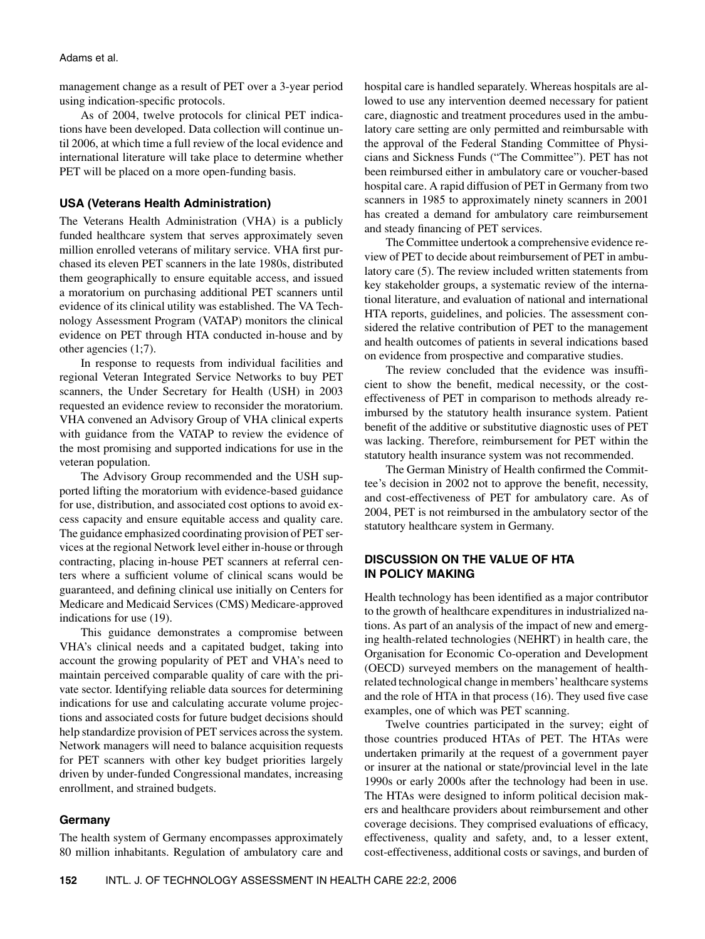#### Adams et al.

management change as a result of PET over a 3-year period using indication-specific protocols.

As of 2004, twelve protocols for clinical PET indications have been developed. Data collection will continue until 2006, at which time a full review of the local evidence and international literature will take place to determine whether PET will be placed on a more open-funding basis.

## **USA (Veterans Health Administration)**

The Veterans Health Administration (VHA) is a publicly funded healthcare system that serves approximately seven million enrolled veterans of military service. VHA first purchased its eleven PET scanners in the late 1980s, distributed them geographically to ensure equitable access, and issued a moratorium on purchasing additional PET scanners until evidence of its clinical utility was established. The VA Technology Assessment Program (VATAP) monitors the clinical evidence on PET through HTA conducted in-house and by other agencies (1;7).

In response to requests from individual facilities and regional Veteran Integrated Service Networks to buy PET scanners, the Under Secretary for Health (USH) in 2003 requested an evidence review to reconsider the moratorium. VHA convened an Advisory Group of VHA clinical experts with guidance from the VATAP to review the evidence of the most promising and supported indications for use in the veteran population.

The Advisory Group recommended and the USH supported lifting the moratorium with evidence-based guidance for use, distribution, and associated cost options to avoid excess capacity and ensure equitable access and quality care. The guidance emphasized coordinating provision of PET services at the regional Network level either in-house or through contracting, placing in-house PET scanners at referral centers where a sufficient volume of clinical scans would be guaranteed, and defining clinical use initially on Centers for Medicare and Medicaid Services (CMS) Medicare-approved indications for use (19).

This guidance demonstrates a compromise between VHA's clinical needs and a capitated budget, taking into account the growing popularity of PET and VHA's need to maintain perceived comparable quality of care with the private sector. Identifying reliable data sources for determining indications for use and calculating accurate volume projections and associated costs for future budget decisions should help standardize provision of PET services across the system. Network managers will need to balance acquisition requests for PET scanners with other key budget priorities largely driven by under-funded Congressional mandates, increasing enrollment, and strained budgets.

## **Germany**

The health system of Germany encompasses approximately 80 million inhabitants. Regulation of ambulatory care and hospital care is handled separately. Whereas hospitals are allowed to use any intervention deemed necessary for patient care, diagnostic and treatment procedures used in the ambulatory care setting are only permitted and reimbursable with the approval of the Federal Standing Committee of Physicians and Sickness Funds ("The Committee"). PET has not been reimbursed either in ambulatory care or voucher-based hospital care. A rapid diffusion of PET in Germany from two scanners in 1985 to approximately ninety scanners in 2001 has created a demand for ambulatory care reimbursement and steady financing of PET services.

The Committee undertook a comprehensive evidence review of PET to decide about reimbursement of PET in ambulatory care (5). The review included written statements from key stakeholder groups, a systematic review of the international literature, and evaluation of national and international HTA reports, guidelines, and policies. The assessment considered the relative contribution of PET to the management and health outcomes of patients in several indications based on evidence from prospective and comparative studies.

The review concluded that the evidence was insufficient to show the benefit, medical necessity, or the costeffectiveness of PET in comparison to methods already reimbursed by the statutory health insurance system. Patient benefit of the additive or substitutive diagnostic uses of PET was lacking. Therefore, reimbursement for PET within the statutory health insurance system was not recommended.

The German Ministry of Health confirmed the Committee's decision in 2002 not to approve the benefit, necessity, and cost-effectiveness of PET for ambulatory care. As of 2004, PET is not reimbursed in the ambulatory sector of the statutory healthcare system in Germany.

## **DISCUSSION ON THE VALUE OF HTA IN POLICY MAKING**

Health technology has been identified as a major contributor to the growth of healthcare expenditures in industrialized nations. As part of an analysis of the impact of new and emerging health-related technologies (NEHRT) in health care, the Organisation for Economic Co-operation and Development (OECD) surveyed members on the management of healthrelated technological change in members' healthcare systems and the role of HTA in that process (16). They used five case examples, one of which was PET scanning.

Twelve countries participated in the survey; eight of those countries produced HTAs of PET. The HTAs were undertaken primarily at the request of a government payer or insurer at the national or state/provincial level in the late 1990s or early 2000s after the technology had been in use. The HTAs were designed to inform political decision makers and healthcare providers about reimbursement and other coverage decisions. They comprised evaluations of efficacy, effectiveness, quality and safety, and, to a lesser extent, cost-effectiveness, additional costs or savings, and burden of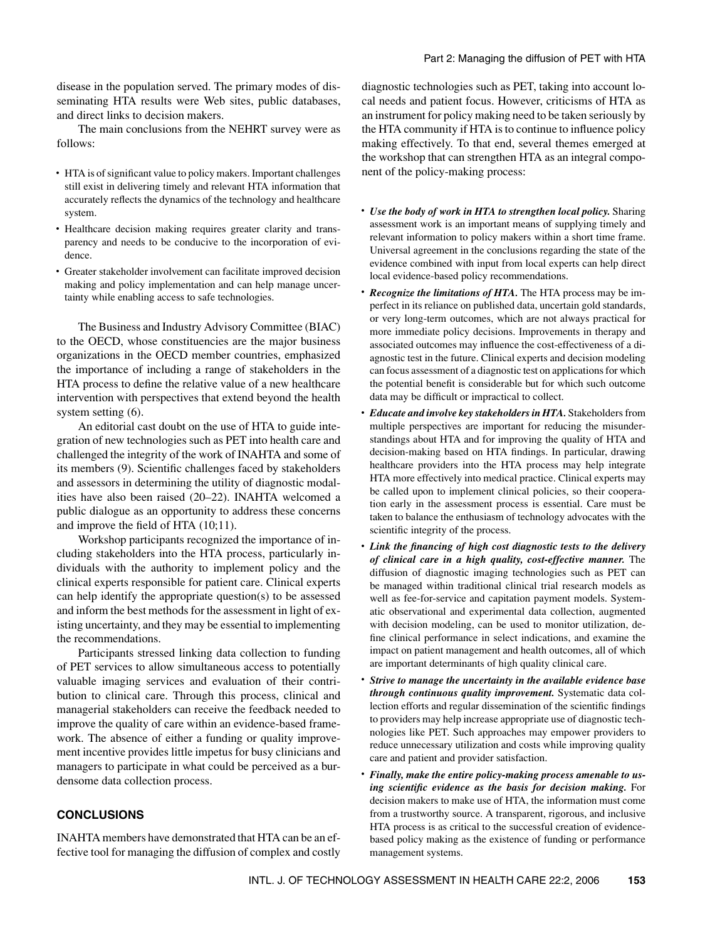disease in the population served. The primary modes of disseminating HTA results were Web sites, public databases, and direct links to decision makers.

The main conclusions from the NEHRT survey were as follows:

- HTA is of significant value to policy makers. Important challenges still exist in delivering timely and relevant HTA information that accurately reflects the dynamics of the technology and healthcare system.
- Healthcare decision making requires greater clarity and transparency and needs to be conducive to the incorporation of evidence.
- Greater stakeholder involvement can facilitate improved decision making and policy implementation and can help manage uncertainty while enabling access to safe technologies.

The Business and Industry Advisory Committee (BIAC) to the OECD, whose constituencies are the major business organizations in the OECD member countries, emphasized the importance of including a range of stakeholders in the HTA process to define the relative value of a new healthcare intervention with perspectives that extend beyond the health system setting (6).

An editorial cast doubt on the use of HTA to guide integration of new technologies such as PET into health care and challenged the integrity of the work of INAHTA and some of its members (9). Scientific challenges faced by stakeholders and assessors in determining the utility of diagnostic modalities have also been raised (20–22). INAHTA welcomed a public dialogue as an opportunity to address these concerns and improve the field of HTA (10;11).

Workshop participants recognized the importance of including stakeholders into the HTA process, particularly individuals with the authority to implement policy and the clinical experts responsible for patient care. Clinical experts can help identify the appropriate question(s) to be assessed and inform the best methods for the assessment in light of existing uncertainty, and they may be essential to implementing the recommendations.

Participants stressed linking data collection to funding of PET services to allow simultaneous access to potentially valuable imaging services and evaluation of their contribution to clinical care. Through this process, clinical and managerial stakeholders can receive the feedback needed to improve the quality of care within an evidence-based framework. The absence of either a funding or quality improvement incentive provides little impetus for busy clinicians and managers to participate in what could be perceived as a burdensome data collection process.

## **CONCLUSIONS**

INAHTA members have demonstrated that HTA can be an effective tool for managing the diffusion of complex and costly diagnostic technologies such as PET, taking into account local needs and patient focus. However, criticisms of HTA as an instrument for policy making need to be taken seriously by the HTA community if HTA is to continue to influence policy making effectively. To that end, several themes emerged at the workshop that can strengthen HTA as an integral component of the policy-making process:

- *Use the body of work in HTA to strengthen local policy.* Sharing assessment work is an important means of supplying timely and relevant information to policy makers within a short time frame. Universal agreement in the conclusions regarding the state of the evidence combined with input from local experts can help direct local evidence-based policy recommendations.
- *Recognize the limitations of HTA.* The HTA process may be imperfect in its reliance on published data, uncertain gold standards, or very long-term outcomes, which are not always practical for more immediate policy decisions. Improvements in therapy and associated outcomes may influence the cost-effectiveness of a diagnostic test in the future. Clinical experts and decision modeling can focus assessment of a diagnostic test on applications for which the potential benefit is considerable but for which such outcome data may be difficult or impractical to collect.
- *Educate and involve key stakeholders in HTA.* Stakeholders from multiple perspectives are important for reducing the misunderstandings about HTA and for improving the quality of HTA and decision-making based on HTA findings. In particular, drawing healthcare providers into the HTA process may help integrate HTA more effectively into medical practice. Clinical experts may be called upon to implement clinical policies, so their cooperation early in the assessment process is essential. Care must be taken to balance the enthusiasm of technology advocates with the scientific integrity of the process.
- *Link the financing of high cost diagnostic tests to the delivery of clinical care in a high quality, cost-effective manner.* The diffusion of diagnostic imaging technologies such as PET can be managed within traditional clinical trial research models as well as fee-for-service and capitation payment models. Systematic observational and experimental data collection, augmented with decision modeling, can be used to monitor utilization, define clinical performance in select indications, and examine the impact on patient management and health outcomes, all of which are important determinants of high quality clinical care.
- *Strive to manage the uncertainty in the available evidence base through continuous quality improvement.* Systematic data collection efforts and regular dissemination of the scientific findings to providers may help increase appropriate use of diagnostic technologies like PET. Such approaches may empower providers to reduce unnecessary utilization and costs while improving quality care and patient and provider satisfaction.
- *Finally, make the entire policy-making process amenable to using scientific evidence as the basis for decision making.* For decision makers to make use of HTA, the information must come from a trustworthy source. A transparent, rigorous, and inclusive HTA process is as critical to the successful creation of evidencebased policy making as the existence of funding or performance management systems.